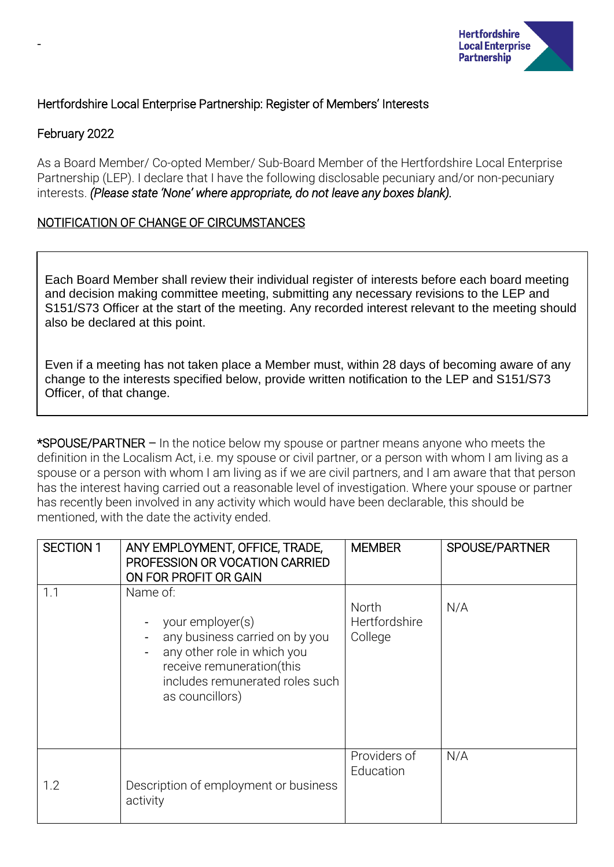

# Hertfordshire Local Enterprise Partnership: Register of Members' Interests

## February 2022

-

As a Board Member/ Co-opted Member/ Sub-Board Member of the Hertfordshire Local Enterprise Partnership (LEP). I declare that I have the following disclosable pecuniary and/or non-pecuniary interests. *(Please state 'None' where appropriate, do not leave any boxes blank).*

# NOTIFICATION OF CHANGE OF CIRCUMSTANCES

Each Board Member shall review their individual register of interests before each board meeting and decision making committee meeting, submitting any necessary revisions to the LEP and S151/S73 Officer at the start of the meeting. Any recorded interest relevant to the meeting should also be declared at this point.

Even if a meeting has not taken place a Member must, within 28 days of becoming aware of any change to the interests specified below, provide written notification to the LEP and S151/S73 Officer, of that change.

\*SPOUSE/PARTNER – In the notice below my spouse or partner means anyone who meets the definition in the Localism Act, i.e. my spouse or civil partner, or a person with whom I am living as a spouse or a person with whom I am living as if we are civil partners, and I am aware that that person has the interest having carried out a reasonable level of investigation. Where your spouse or partner has recently been involved in any activity which would have been declarable, this should be mentioned, with the date the activity ended.

| <b>SECTION 1</b> | ANY EMPLOYMENT, OFFICE, TRADE,<br>PROFESSION OR VOCATION CARRIED<br>ON FOR PROFIT OR GAIN                                                                                        | <b>MEMBER</b>                     | SPOUSE/PARTNER |
|------------------|----------------------------------------------------------------------------------------------------------------------------------------------------------------------------------|-----------------------------------|----------------|
| 1.1              | Name of:<br>your employer(s)<br>any business carried on by you<br>any other role in which you<br>receive remuneration(this<br>includes remunerated roles such<br>as councillors) | North<br>Hertfordshire<br>College | N/A            |
| 1.2              | Description of employment or business<br>activity                                                                                                                                | Providers of<br>Education         | N/A            |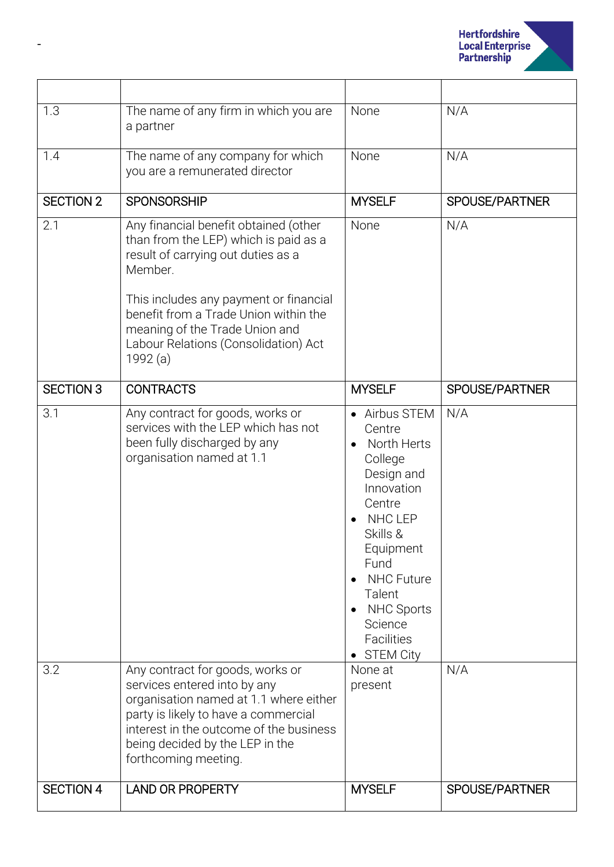

| 1.3              | The name of any firm in which you are<br>a partner                                                                                                                                                                                                                                                       | None                                                                                                                                                                                                                                                 | N/A            |
|------------------|----------------------------------------------------------------------------------------------------------------------------------------------------------------------------------------------------------------------------------------------------------------------------------------------------------|------------------------------------------------------------------------------------------------------------------------------------------------------------------------------------------------------------------------------------------------------|----------------|
| 1.4              | The name of any company for which<br>you are a remunerated director                                                                                                                                                                                                                                      | None                                                                                                                                                                                                                                                 | N/A            |
| SECTION 2        | <b>SPONSORSHIP</b>                                                                                                                                                                                                                                                                                       | <b>MYSELF</b>                                                                                                                                                                                                                                        | SPOUSE/PARTNER |
| 2.1              | Any financial benefit obtained (other<br>than from the LEP) which is paid as a<br>result of carrying out duties as a<br>Member.<br>This includes any payment or financial<br>benefit from a Trade Union within the<br>meaning of the Trade Union and<br>Labour Relations (Consolidation) Act<br>1992 (a) | None                                                                                                                                                                                                                                                 | N/A            |
| <b>SECTION 3</b> | <b>CONTRACTS</b>                                                                                                                                                                                                                                                                                         | <b>MYSELF</b>                                                                                                                                                                                                                                        | SPOUSE/PARTNER |
| 3.1<br>3.2       | Any contract for goods, works or<br>services with the LEP which has not<br>been fully discharged by any<br>organisation named at 1.1<br>Any contract for goods, works or                                                                                                                                 | Airbus STEM<br>Centre<br>North Herts<br>College<br>Design and<br>Innovation<br>Centre<br><b>NHC LEP</b><br>Skills &<br>Equipment<br>Fund<br><b>NHC Future</b><br>Talent<br><b>NHC Sports</b><br>Science<br>Facilities<br><b>STEM City</b><br>None at | N/A<br>N/A     |
|                  | services entered into by any<br>organisation named at 1.1 where either<br>party is likely to have a commercial<br>interest in the outcome of the business<br>being decided by the LEP in the<br>forthcoming meeting.                                                                                     | present                                                                                                                                                                                                                                              |                |
| <b>SECTION 4</b> | <b>LAND OR PROPERTY</b>                                                                                                                                                                                                                                                                                  | <b>MYSELF</b>                                                                                                                                                                                                                                        | SPOUSE/PARTNER |

-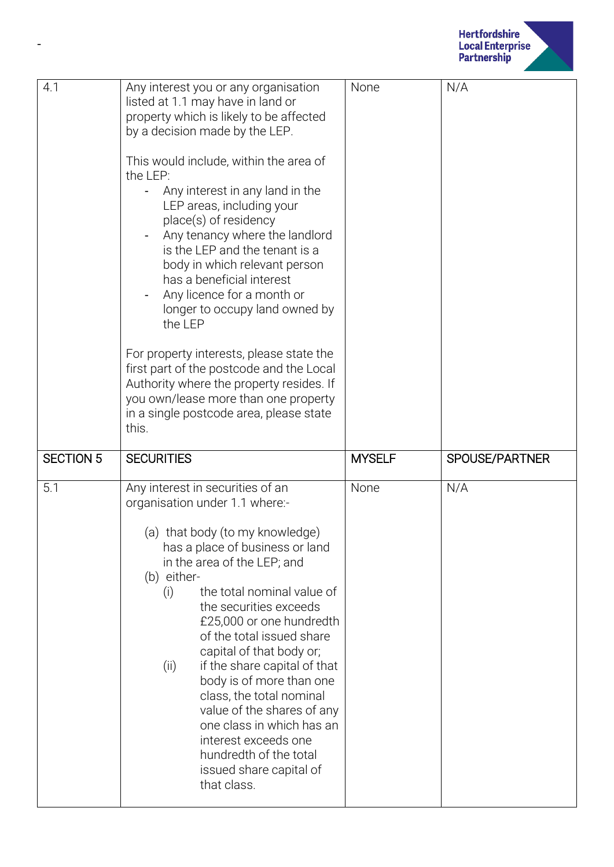

| Any interest you or any organisation<br>listed at 1.1 may have in land or<br>property which is likely to be affected<br>by a decision made by the LEP.<br>This would include, within the area of<br>the LEP:<br>Any interest in any land in the<br>LEP areas, including your<br>place(s) of residency<br>Any tenancy where the landlord<br>is the LEP and the tenant is a<br>body in which relevant person<br>has a beneficial interest<br>Any licence for a month or<br>longer to occupy land owned by<br>the LEP<br>For property interests, please state the<br>first part of the postcode and the Local<br>Authority where the property resides. If<br>you own/lease more than one property<br>in a single postcode area, please state<br>this. | None          | N/A            |
|----------------------------------------------------------------------------------------------------------------------------------------------------------------------------------------------------------------------------------------------------------------------------------------------------------------------------------------------------------------------------------------------------------------------------------------------------------------------------------------------------------------------------------------------------------------------------------------------------------------------------------------------------------------------------------------------------------------------------------------------------|---------------|----------------|
| <b>SECURITIES</b>                                                                                                                                                                                                                                                                                                                                                                                                                                                                                                                                                                                                                                                                                                                                  | <b>MYSELF</b> | SPOUSE/PARTNER |
| Any interest in securities of an<br>organisation under 1.1 where:-<br>(a) that body (to my knowledge)<br>has a place of business or land<br>in the area of the LEP; and<br>(b) either-<br>the total nominal value of<br>(i)<br>the securities exceeds<br>£25,000 or one hundredth<br>of the total issued share<br>capital of that body or;<br>if the share capital of that<br>(i)<br>body is of more than one<br>class, the total nominal<br>value of the shares of any<br>one class in which has an<br>interest exceeds one<br>hundredth of the total<br>issued share capital of<br>that class.                                                                                                                                                   | None          | N/A            |
|                                                                                                                                                                                                                                                                                                                                                                                                                                                                                                                                                                                                                                                                                                                                                    |               |                |

-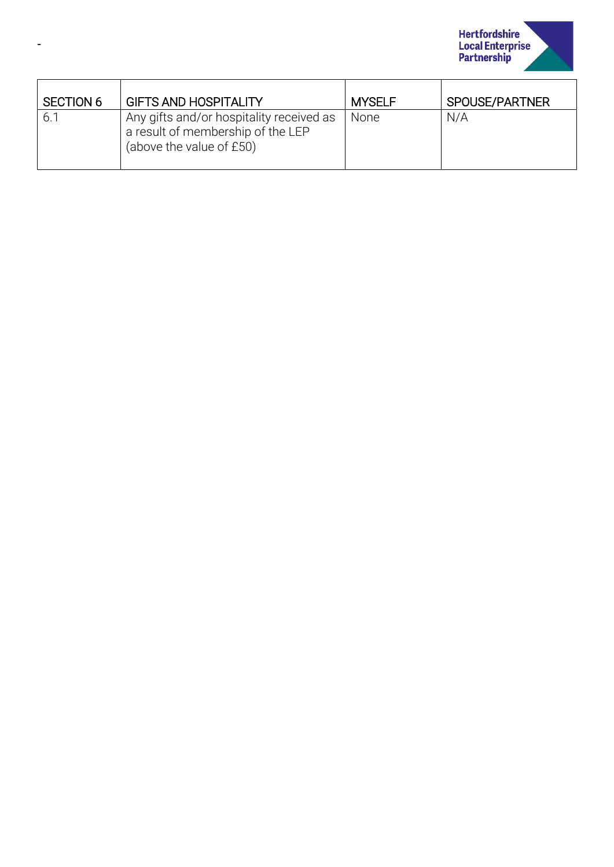

| <b>SECTION 6</b> | <b>GIFTS AND HOSPITALITY</b>                                                                              | <b>MYSELF</b> | SPOUSE/PARTNER |
|------------------|-----------------------------------------------------------------------------------------------------------|---------------|----------------|
| 6.1              | Any gifts and/or hospitality received as<br>a result of membership of the LEP<br>(above the value of £50) | None          | N/A            |

-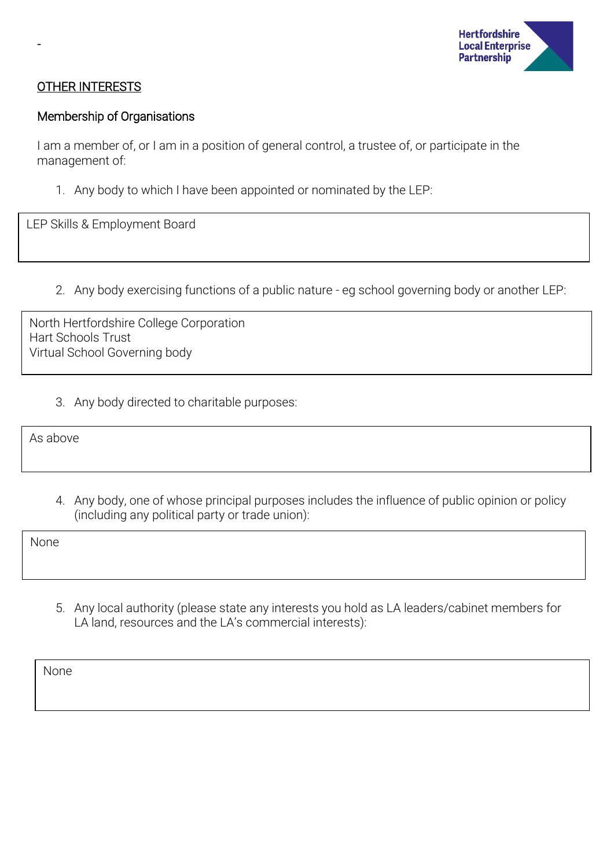

### OTHER INTERESTS

-

#### Membership of Organisations

I am a member of, or I am in a position of general control, a trustee of, or participate in the management of:

1. Any body to which I have been appointed or nominated by the LEP:

LEP Skills & Employment Board

2. Any body exercising functions of a public nature - eg school governing body or another LEP:

North Hertfordshire College Corporation Hart Schools Trust Virtual School Governing body

3. Any body directed to charitable purposes:

As above

4. Any body, one of whose principal purposes includes the influence of public opinion or policy (including any political party or trade union):

None

5. Any local authority (please state any interests you hold as LA leaders/cabinet members for LA land, resources and the LA's commercial interests):

None